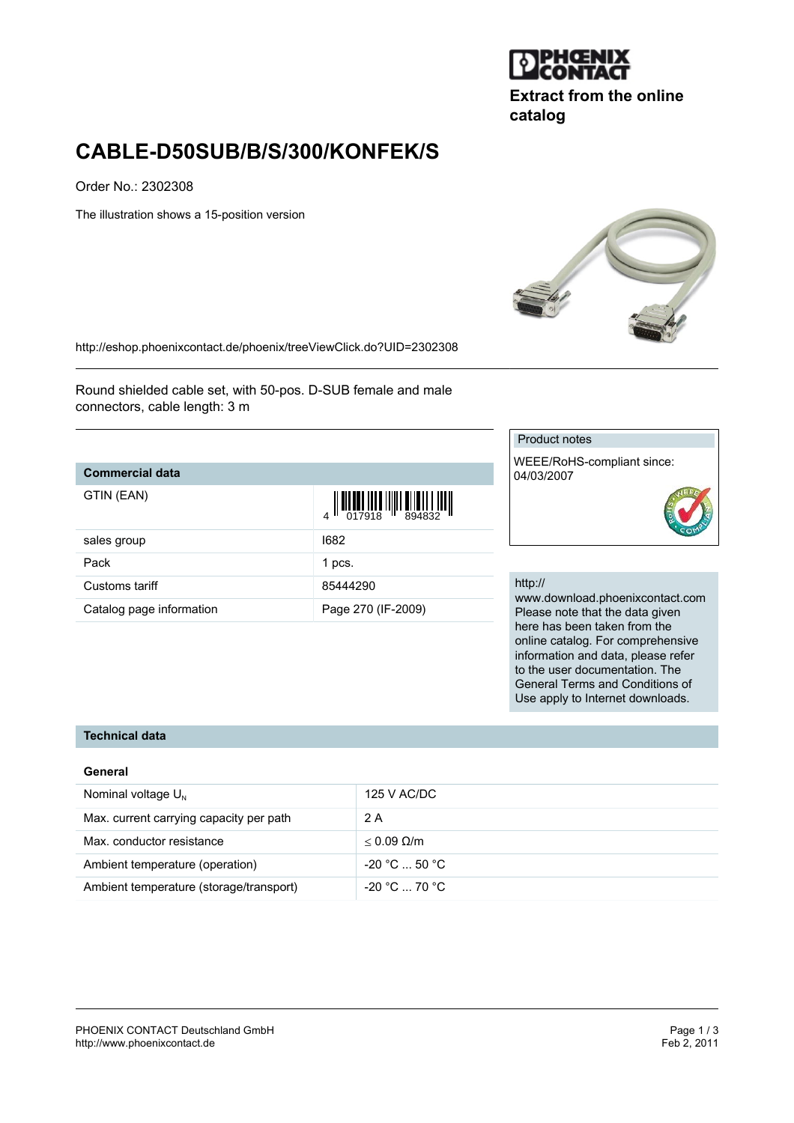

**Extract from the online catalog**

# **CABLE-D50SUB/B/S/300/KONFEK/S**

Order No.: 2302308

The illustration shows a 15-position version



<http://eshop.phoenixcontact.de/phoenix/treeViewClick.do?UID=2302308>

Round shielded cable set, with 50-pos. D-SUB female and male connectors, cable length: 3 m

#### **Commercial data**

| GTIN (EAN) |  |
|------------|--|
|------------|--|

| GTIN (EAN)               |                    |
|--------------------------|--------------------|
| sales group              | 1682               |
| Pack                     | 1 pcs.             |
| Customs tariff           | 85444290           |
| Catalog page information | Page 270 (IF-2009) |

#### Product notes

WEEE/RoHS-compliant since: 04/03/2007

#### http://

www.download.phoenixcontact.com Please note that the data given here has been taken from the online catalog. For comprehensive information and data, please refer to the user documentation. The General Terms and Conditions of Use apply to Internet downloads.

## **Technical data**

#### **General**

| Nominal voltage $U_{N}$                 | 125 V AC/DC          |
|-----------------------------------------|----------------------|
| Max. current carrying capacity per path | 2 A                  |
| Max. conductor resistance               | $< 0.09$ Q/m         |
| Ambient temperature (operation)         | $-20 °C  50 °C$      |
| Ambient temperature (storage/transport) | $-20\degree$ C 70 °C |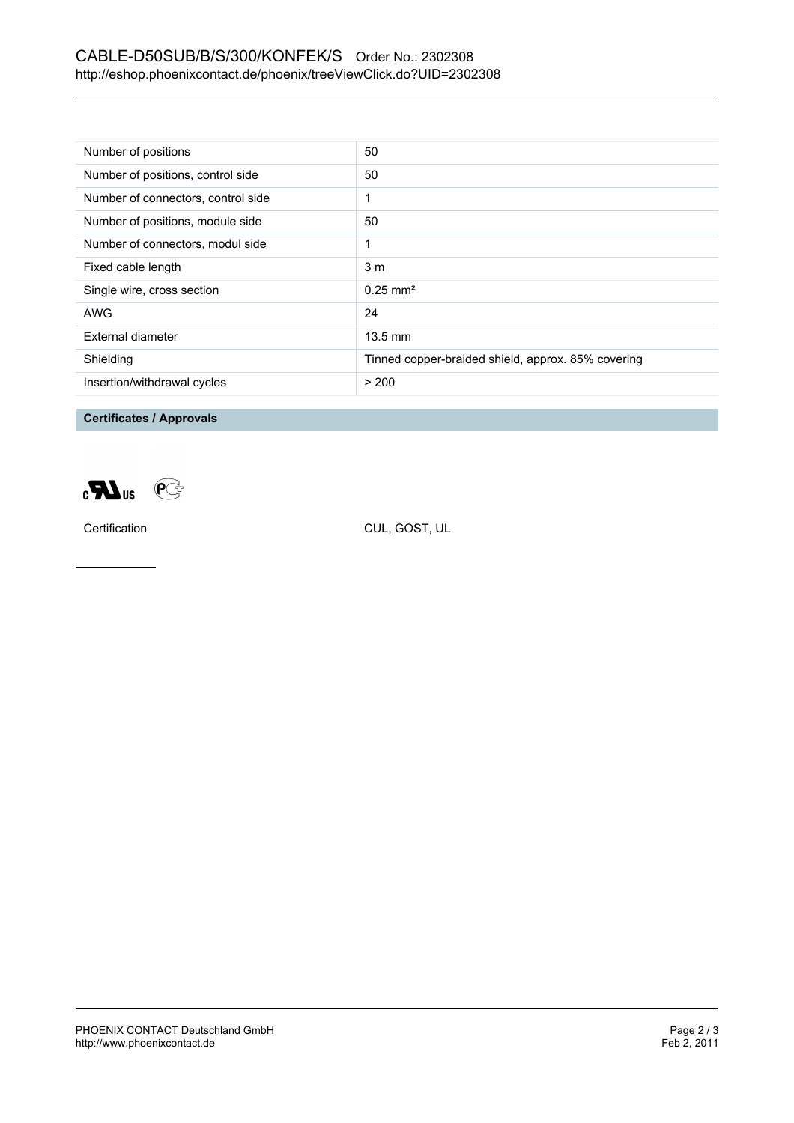## CABLE-D50SUB/B/S/300/KONFEK/S Order No.: 2302308 <http://eshop.phoenixcontact.de/phoenix/treeViewClick.do?UID=2302308>

| Number of positions                | 50                                                 |
|------------------------------------|----------------------------------------------------|
| Number of positions, control side  | 50                                                 |
| Number of connectors, control side |                                                    |
| Number of positions, module side   | 50                                                 |
| Number of connectors, modul side   |                                                    |
| Fixed cable length                 | 3 <sub>m</sub>                                     |
| Single wire, cross section         | $0.25$ mm <sup>2</sup>                             |
| AWG                                | 24                                                 |
| External diameter                  | $13.5 \text{ mm}$                                  |
| Shielding                          | Tinned copper-braided shield, approx. 85% covering |
| Insertion/withdrawal cycles        | > 200                                              |

**Certificates / Approvals**



Certification CUL, GOST, UL